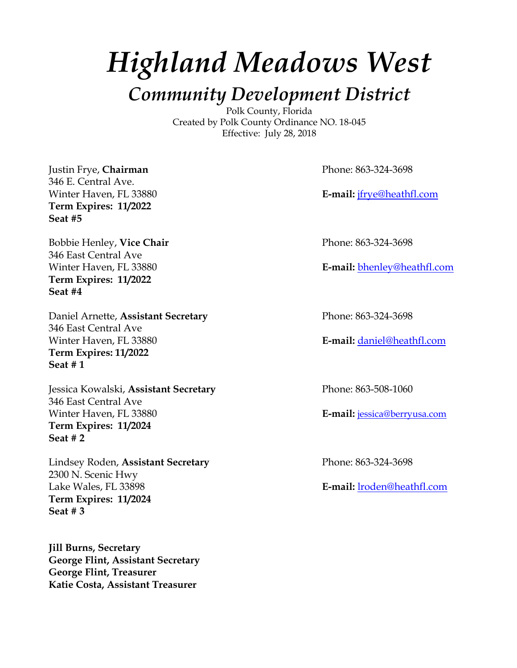# *Highland Meadows West*

*Community Development District* Polk County, Florida

Created by Polk County Ordinance NO. 18-045 Effective: July 28, 2018

Justin Frye, **Chairman** Phone: 863-324-3698 346 E. Central Ave. **Term Expires: 11/2022 Seat #5**

Bobbie Henley, **Vice Chair** Phone: 863-324-3698 346 East Central Ave **Term Expires: 11/2022 Seat #4**

Daniel Arnette, **Assistant Secretary** Phone: 863-324-3698 346 East Central Ave Winter Haven, FL 33880 **E-mail:** daniel@heathfl.com **Term Expires: 11/2022 Seat # 1**

Jessica Kowalski, **Assistant Secretary** Phone: 863-508-1060 346 East Central Ave Winter Haven, FL 33880 **E-mail:** jessica@berryusa.com **Term Expires: 11/2024 Seat # 2**

Lindsey Roden, **Assistant Secretary** Phone: 863-324-3698 2300 N. Scenic Hwy Lake Wales, FL 33898 **E-mail:** lroden@heathfl.com **Term Expires: 11/2024 Seat # 3**

**Jill Burns, Secretary George Flint, Assistant Secretary George Flint, Treasurer Katie Costa, Assistant Treasurer**

Winter Haven, FL 33880 **E-mail:** *ifrye@heathfl.com* 

Winter Haven, FL 33880 **E-mail:** bhenley@heathfl.com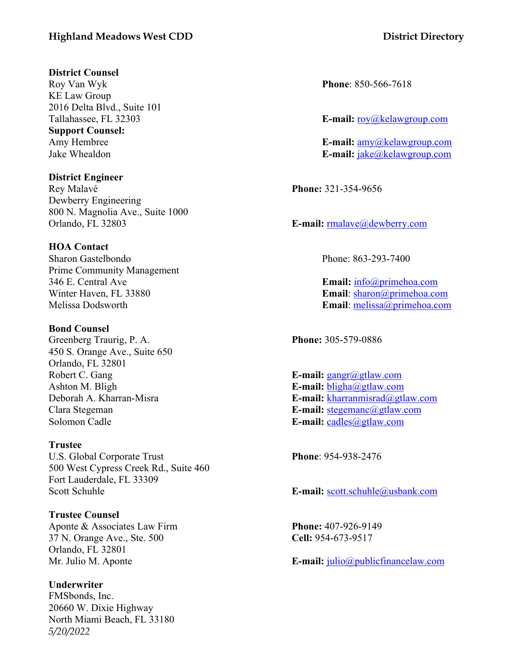#### **Highland Meadows West CDD District Directory**

#### **District Counsel**

Roy Van Wyk **Phone**: 850-566-7618 KE Law Group 2016 Delta Blvd., Suite 101 **Support Counsel:**

**District Engineer** Rey Malavé **Phone:** 321-354-9656 Dewberry Engineering 800 N. Magnolia Ave., Suite 1000 Orlando, FL 32803 **E-mail:** rmalave@dewberry.com

#### **HOA Contact**

Sharon Gastelbondo Phone: 863-293-7400 Prime Community Management 346 E. Central Ave **Email:** info@primehoa.com Winter Haven, FL 33880 **Email**: sharon@primehoa.com Melissa Dodsworth **Email**: melissa@primehoa.com

#### **Bond Counsel**

Greenberg Traurig, P. A. **Phone:** 305-579-0886 450 S. Orange Ave., Suite 650 Orlando, FL 32801 Robert C. Gang **E-mail:** gangr@gtlaw.com Ashton M. Bligh **E-mail:** bligha@gtlaw.com Solomon Cadle **E-mail:** cadles@gtlaw.com

#### **Trustee**

U.S. Global Corporate Trust **Phone**: 954-938-2476 500 West Cypress Creek Rd., Suite 460 Fort Lauderdale, FL 33309 Scott Schuhle **E-mail:** scott.schuhle@usbank.com

**Trustee Counsel**

Aponte & Associates Law Firm **Phone:** 407-926-9149 37 N. Orange Ave., Ste. 500 **Cell:** 954-673-9517 Orlando, FL 32801

*5/20/2022* **Underwriter** FMSbonds, Inc. 20660 W. Dixie Highway North Miami Beach, FL 33180

Tallahassee, FL 32303 **E-mail:** roy@kelawgroup.com

Amy Hembree **E-mail:** amy@kelawgroup.com Jake Whealdon **E-mail:** jake@kelawgroup.com

Deborah A. Kharran-Misra **E-mail:** kharranmisrad@gtlaw.com Clara Stegeman **E-mail:** stegemanc@gtlaw.com

Mr. Julio M. Aponte **E-mail:** julio@publicfinancelaw.com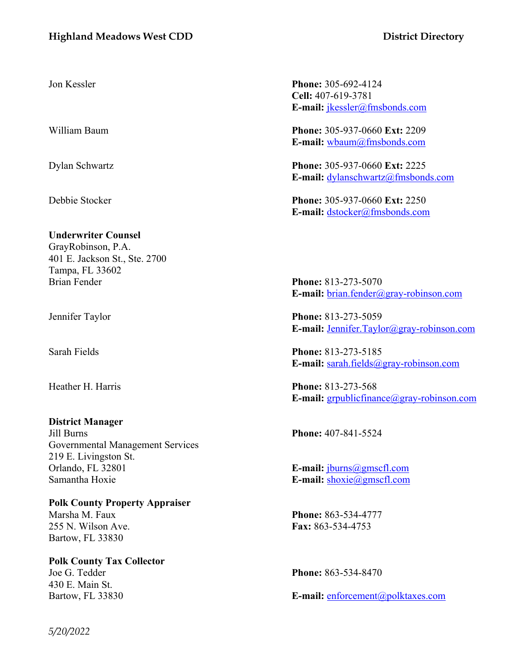#### **Highland Meadows West CDD District Directory**

**Underwriter Counsel**

GrayRobinson, P.A. 401 E. Jackson St., Ste. 2700 Tampa, FL 33602 Brian Fender **Phone:** 813-273-5070

**District Manager** Jill Burns **Phone:** 407-841-5524 Governmental Management Services 219 E. Livingston St. Orlando, FL 32801 **E-mail:** jburns@gmscfl.com Samantha Hoxie **E-mail:** shoxie **E-mail:** shoxie **example** 

**Polk County Property Appraiser** Marsha M. Faux **Phone:** 863-534-4777 255 N. Wilson Ave. **Fax:** 863-534-4753 Bartow, FL 33830

**Polk County Tax Collector** Joe G. Tedder **Phone:** 863-534-8470 430 E. Main St.

Jon Kessler **Phone:** 305-692-4124 **Cell:** 407-619-3781 **E-mail:** jkessler@fmsbonds.com

William Baum **Phone:** 305-937-0660 **Ext:** 2209 **E-mail:** wbaum@fmsbonds.com

Dylan Schwartz **Phone:** 305-937-0660 **Ext:** 2225 **E-mail:** dylanschwartz@fmsbonds.com

Debbie Stocker **Phone:** 305-937-0660 **Ext:** 2250 **E-mail:** dstocker@fmsbonds.com

**E-mail:** brian.fender@gray-robinson.com

Jennifer Taylor **Phone:** 813-273-5059 **E-mail:** Jennifer.Taylor@gray-robinson.com

Sarah Fields **Phone:** 813-273-5185 **E-mail:** sarah.fields@gray-robinson.com

Heather H. Harris **Phone:** 813-273-568 **E-mail:** grpublicfinance@gray-robinson.com

Bartow, FL 33830 **E-mail:** enforcement@polktaxes.com